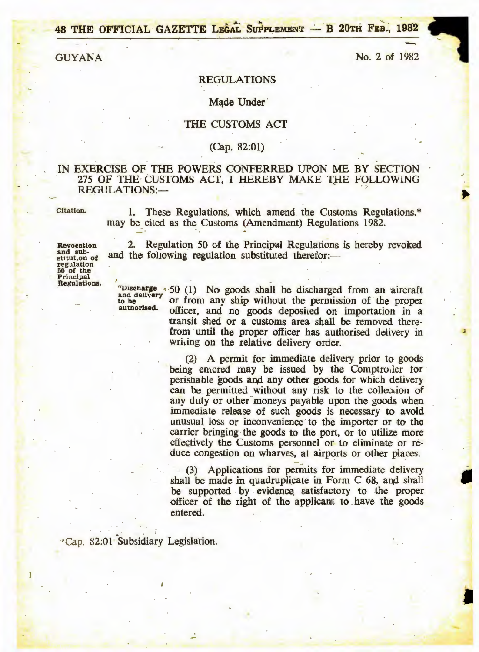48 THE OFFICIAL GAZETTE LEGAL SUPPLEMENT - B 20TH FEB., 1982

**GUYANA** 

No. 2 of 1982

#### **REGULATIONS**

#### Made Under

### THE CUSTOMS ACT

### $(Cap. 82:01)$

### IN EXERCISE OF THE POWERS CONFERRED UPON ME BY SECTION 275 OF THE CUSTOMS ACT, I HEREBY MAKE THE FOLLOWING **REGULATIONS:-**

Citation.

1. These Regulations, which amend the Customs Regulations,\* may be cited as the Customs (Amendment) Regulations 1982.

Revocation and sub-<br>stitut.on of regulation 50 of the<br>Principal Regulations.

1

2. Regulation 50 of the Principal Regulations is hereby revoked and the following regulation substituted therefor:—

and delivery to be authorised.

"Discharge < 50 (1) No goods shall be discharged from an aircraft or from any ship without the permission of the proper officer, and no goods deposited on importation in a transit shed or a customs area shall be removed therefrom until the proper officer has authorised delivery in writing on the relative delivery order.

> (2) A permit for immediate delivery prior to goods being entered may be issued by the Comptroller for perishable goods and any other goods for which delivery can be permitted without any risk to the collection of any duty or other moneys payable upon the goods when immediate release of such goods is necessary to avoid unusual loss or inconvenience to the importer or to the carrier bringing the goods to the port, or to utilize more effectively the Customs personnel or to eliminate or reduce congestion on wharves, at airports or other places.

> (3) Applications for permits for immediate delivery shall be made in quadruplicate in Form C 68, and shall be supported by evidence satisfactory to the proper officer of the right of the applicant to have the goods entered.

\*Cap. 82:01 Subsidiary Legislation.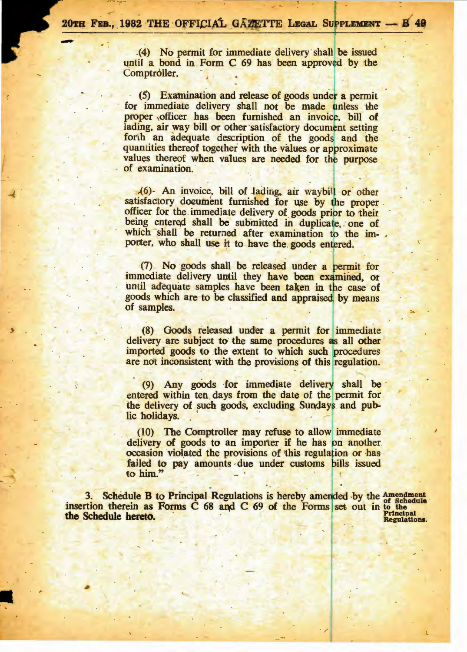(4) No permit for immediate delivery shall be issued until a bond in Form C 69 has been approved by the Comptroller.

(5) Examination and release of goods under a permit for immediate delivery shall not be made unless the proper officer has been furnished an invoice, bill of lading, air way bill or other satisfactory document setting forth an adequate description of the goods and the quantities thereof together with the values or approximate values thereof when values are needed for the purpose of examination.

(6) An invoice, bill of lading, air waybill or other satisfactory document furnished for use by the proper. officer for the immediate delivery of goods prior to their being entered shall be submitted in duplicate, one of which shall be returned after examination to the importer, who shall use it to have the goods entered.

(7) No goods shall be released under a permit for immediate delivery until they have been examined, or until adequate samples have been taken in the case of goods which are to be classified and appraised by means of samples.

(8) Goods released under a permit for immediate delivery are subject to the same procedures as all other imported goods to the extent to which such procedures are not inconsistent with the provisions of this regulation.

(9) Any goods for immediate delivery shall be entered within ten days from the date of the permit for the delivery of such goods, excluding Sundays and public holidays.

(10) The Comptroller may refuse to allow immediate delivery of goods to an importer if he has on another. occasion violated the provisions of this regulation or has failed to pay amounts due under customs bills issued to him."

3. Schedule B to Principal Regulations is hereby amended by the Amendment<br>insertion therein as Forms C 68 and C 69 of the Forms set out in to the rincipal the Schedule hereto. Regulations.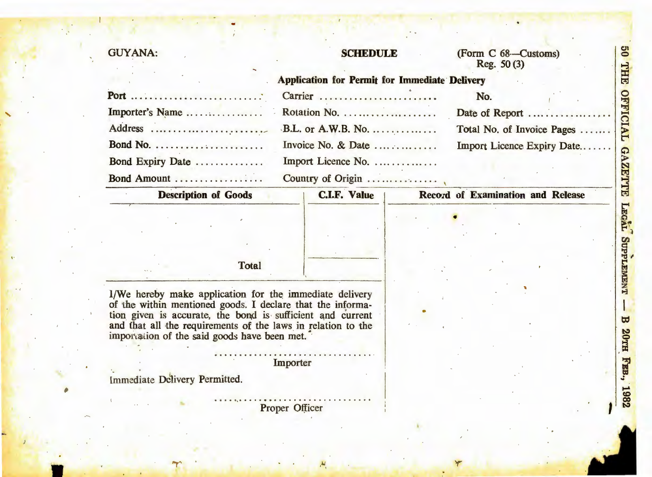# **GUYANA:**

# **SCHEDULE**

## (Form C 68-Customs) Reg.  $50(3)$

| Importer's Name  |  |
|------------------|--|
|                  |  |
|                  |  |
| Bond Expiry Date |  |
| Bond Amount      |  |

| <b>Application for Permit for Immediate Delivery</b> |                            |
|------------------------------------------------------|----------------------------|
| Carrier                                              | No.                        |
|                                                      | Date of Report             |
|                                                      | Total No. of Invoice Pages |
| Invoice No. & Date                                   | Import Licence Expiry Date |
| Import Licence No.                                   |                            |
| Country of Origin                                    |                            |

| <b>Description of Goods</b> |       | <b>C.I.F. Value</b> | Record of Examination and Release |  |
|-----------------------------|-------|---------------------|-----------------------------------|--|
|                             |       |                     |                                   |  |
|                             |       |                     |                                   |  |
| to the                      | Total |                     |                                   |  |
|                             |       |                     |                                   |  |

I/We hereby make application for the immediate delivery of the within mentioned goods. I declare that the informa-<br>tion given is accurate, the bond is sufficient and current<br>and that all the requirements of the laws in relation to the<br>importation of the said goods have been met

Importer

Immediate Delivery Permitted.

Proper Officer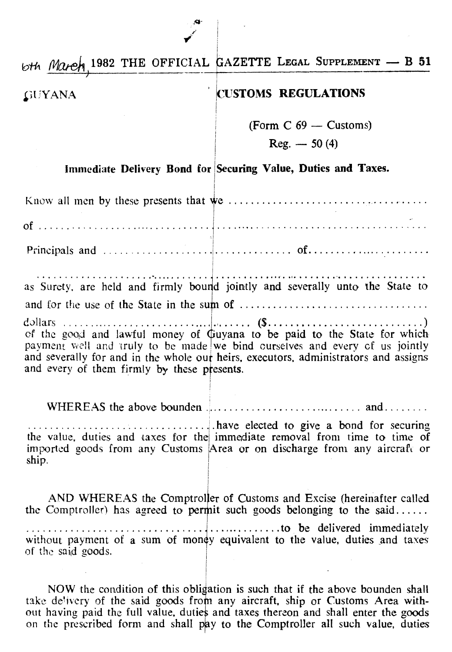6th March, 1982 THE OFFICIAL GAZETTE LEGAL SUPPLEMENT - B 51

### **GUYANA**

## **CUSTOMS REGULATIONS**

(Form  $C$  69 - Customs)

 $Reg. - 50(4)$ 

## Immediate Delivery Bond for Securing Value, Duties and Taxes.

as Surety, are held and firmly bound jointly and severally unto the State to of the good and lawful money of Guyana to be paid to the State for which payment well and truly to be made we bind curselves and every of us jointly and severally for and in the whole our heirs, executors, administrators and assigns and every of them firmly by these presents. WHEREAS the above bounder  $\ldots$ ,  $\ldots$ ,  $\ldots$ ,  $\ldots$ ,  $\ldots$ , and  $\ldots$ ,  $\ldots$ 

the value, duties and taxes for the immediate removal from time to time of imported goods from any Customs Area or on discharge from any aircraft or ship.

AND WHEREAS the Comptroller of Customs and Excise (hereinafter called the Comptroller) has agreed to permit such goods belonging to the said...... without payment of a sum of money equivalent to the value, duties and taxes of the said goods.

NOW the condition of this obligation is such that if the above bounden shall take delivery of the said goods from any aircraft, ship or Customs Area without having paid the full value, duties and taxes thereon and shall enter the goods on the prescribed form and shall pay to the Comptroller all such value, duties